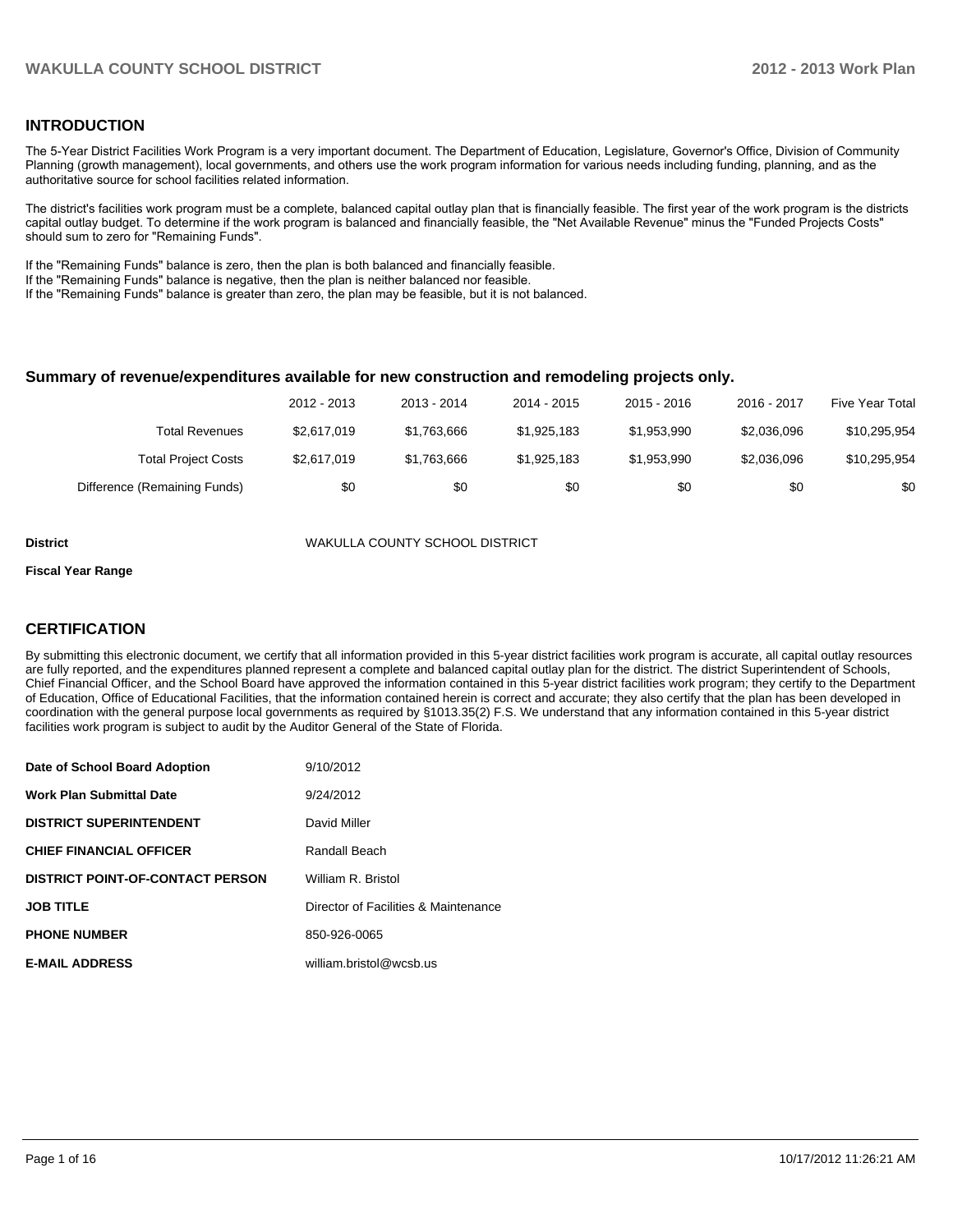#### **INTRODUCTION**

The 5-Year District Facilities Work Program is a very important document. The Department of Education, Legislature, Governor's Office, Division of Community Planning (growth management), local governments, and others use the work program information for various needs including funding, planning, and as the authoritative source for school facilities related information.

The district's facilities work program must be a complete, balanced capital outlay plan that is financially feasible. The first year of the work program is the districts capital outlay budget. To determine if the work program is balanced and financially feasible, the "Net Available Revenue" minus the "Funded Projects Costs" should sum to zero for "Remaining Funds".

If the "Remaining Funds" balance is zero, then the plan is both balanced and financially feasible.

If the "Remaining Funds" balance is negative, then the plan is neither balanced nor feasible.

If the "Remaining Funds" balance is greater than zero, the plan may be feasible, but it is not balanced.

#### **Summary of revenue/expenditures available for new construction and remodeling projects only.**

|                              | 2012 - 2013 | 2013 - 2014 | 2014 - 2015 | $2015 - 2016$ | 2016 - 2017 | Five Year Total |
|------------------------------|-------------|-------------|-------------|---------------|-------------|-----------------|
| Total Revenues               | \$2.617.019 | \$1.763.666 | \$1,925,183 | \$1.953.990   | \$2.036.096 | \$10,295,954    |
| <b>Total Project Costs</b>   | \$2.617.019 | \$1.763.666 | \$1.925.183 | \$1.953.990   | \$2.036.096 | \$10,295,954    |
| Difference (Remaining Funds) | \$0         | \$0         | \$0         | \$0           | \$0         | \$0             |

**District** WAKULLA COUNTY SCHOOL DISTRICT

#### **Fiscal Year Range**

#### **CERTIFICATION**

By submitting this electronic document, we certify that all information provided in this 5-year district facilities work program is accurate, all capital outlay resources are fully reported, and the expenditures planned represent a complete and balanced capital outlay plan for the district. The district Superintendent of Schools, Chief Financial Officer, and the School Board have approved the information contained in this 5-year district facilities work program; they certify to the Department of Education, Office of Educational Facilities, that the information contained herein is correct and accurate; they also certify that the plan has been developed in coordination with the general purpose local governments as required by §1013.35(2) F.S. We understand that any information contained in this 5-year district facilities work program is subject to audit by the Auditor General of the State of Florida.

| Date of School Board Adoption           | 9/10/2012                            |
|-----------------------------------------|--------------------------------------|
| <b>Work Plan Submittal Date</b>         | 9/24/2012                            |
| <b>DISTRICT SUPERINTENDENT</b>          | David Miller                         |
| <b>CHIEF FINANCIAL OFFICER</b>          | Randall Beach                        |
| <b>DISTRICT POINT-OF-CONTACT PERSON</b> | William R. Bristol                   |
| <b>JOB TITLE</b>                        | Director of Facilities & Maintenance |
| <b>PHONE NUMBER</b>                     | 850-926-0065                         |
| <b>E-MAIL ADDRESS</b>                   | william.bristol@wcsb.us              |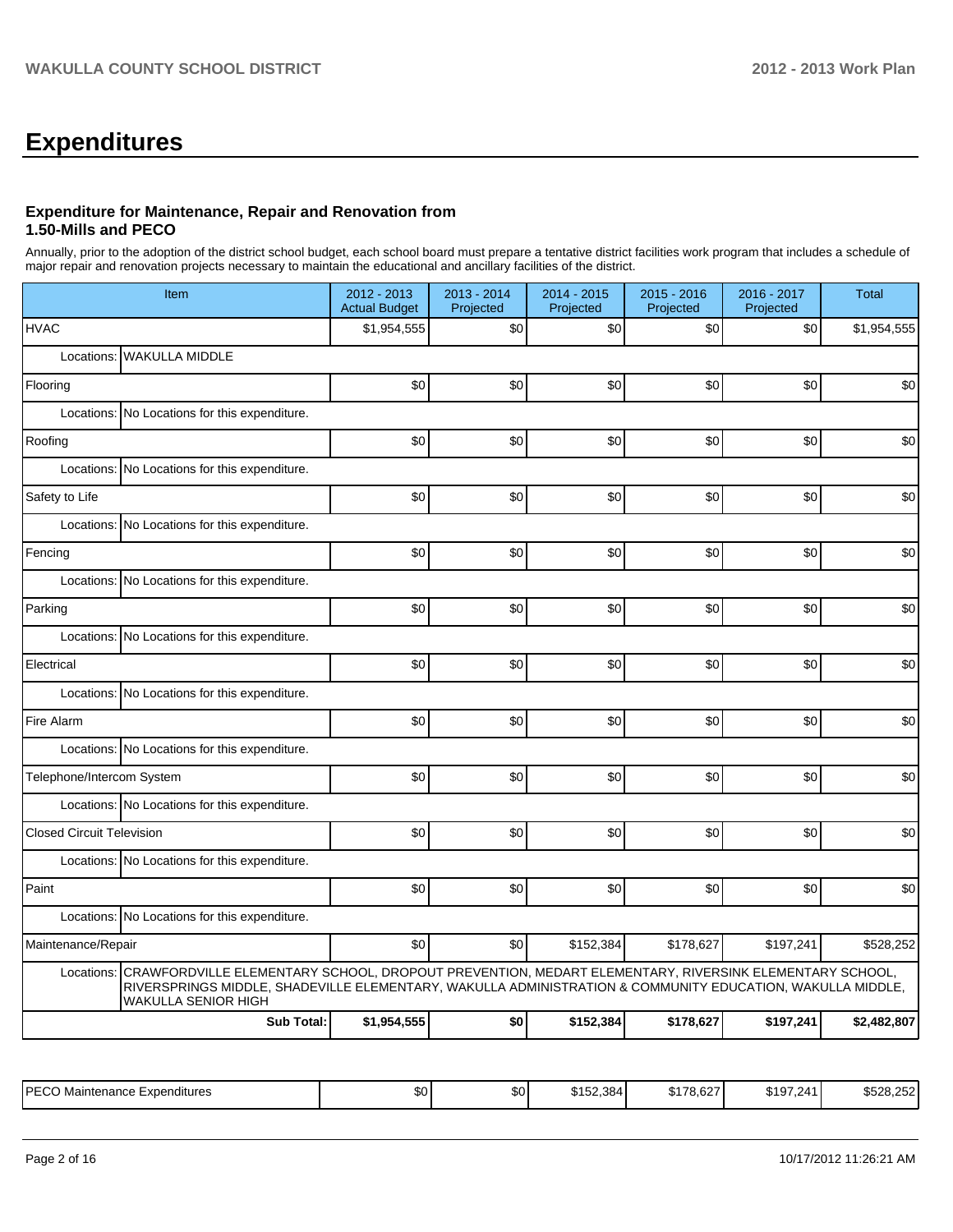# **Expenditures**

#### **Expenditure for Maintenance, Repair and Renovation from 1.50-Mills and PECO**

Annually, prior to the adoption of the district school budget, each school board must prepare a tentative district facilities work program that includes a schedule of major repair and renovation projects necessary to maintain the educational and ancillary facilities of the district.

|                                  | Item                                                                                                                                                                                                                                     |             | 2013 - 2014<br>Projected | 2014 - 2015<br>Projected | 2015 - 2016<br>Projected | 2016 - 2017<br>Projected | <b>Total</b> |  |  |  |  |
|----------------------------------|------------------------------------------------------------------------------------------------------------------------------------------------------------------------------------------------------------------------------------------|-------------|--------------------------|--------------------------|--------------------------|--------------------------|--------------|--|--|--|--|
| <b>HVAC</b>                      |                                                                                                                                                                                                                                          | \$1,954,555 | \$0                      | \$0                      | \$0                      | \$0                      | \$1,954,555  |  |  |  |  |
| Locations:                       | <b>WAKULLA MIDDLE</b>                                                                                                                                                                                                                    |             |                          |                          |                          |                          |              |  |  |  |  |
| Flooring                         |                                                                                                                                                                                                                                          | \$0         | \$0                      | \$0                      | \$0                      | \$0                      | \$0          |  |  |  |  |
| Locations:                       | No Locations for this expenditure.                                                                                                                                                                                                       |             |                          |                          |                          |                          |              |  |  |  |  |
| Roofing                          |                                                                                                                                                                                                                                          | \$0         | \$0                      | \$0                      | \$0                      | \$0                      | \$0          |  |  |  |  |
|                                  | Locations: No Locations for this expenditure.                                                                                                                                                                                            |             |                          |                          |                          |                          |              |  |  |  |  |
| Safety to Life                   |                                                                                                                                                                                                                                          | \$0         | \$0                      | \$0                      | \$0                      | \$0                      | \$0          |  |  |  |  |
|                                  | Locations: No Locations for this expenditure.                                                                                                                                                                                            |             |                          |                          |                          |                          |              |  |  |  |  |
| Fencing                          |                                                                                                                                                                                                                                          | \$0         | \$0                      | \$0                      | \$0                      | \$0                      | \$0          |  |  |  |  |
|                                  | Locations: No Locations for this expenditure.                                                                                                                                                                                            |             |                          |                          |                          |                          |              |  |  |  |  |
| Parking                          |                                                                                                                                                                                                                                          | \$0         | \$0                      | \$0                      | \$0                      | \$0                      | \$0          |  |  |  |  |
|                                  | Locations: No Locations for this expenditure.                                                                                                                                                                                            |             |                          |                          |                          |                          |              |  |  |  |  |
| Electrical                       |                                                                                                                                                                                                                                          | \$0         | \$0                      | \$0                      | \$0                      | \$0                      | \$0          |  |  |  |  |
|                                  | Locations: No Locations for this expenditure.                                                                                                                                                                                            |             |                          |                          |                          |                          |              |  |  |  |  |
| Fire Alarm                       |                                                                                                                                                                                                                                          | \$0         | \$0                      | \$0                      | \$0                      | \$0                      | \$0          |  |  |  |  |
|                                  | Locations: No Locations for this expenditure.                                                                                                                                                                                            |             |                          |                          |                          |                          |              |  |  |  |  |
| Telephone/Intercom System        |                                                                                                                                                                                                                                          | \$0         | \$0                      | \$0                      | \$0                      | \$0                      | \$0          |  |  |  |  |
|                                  | Locations: No Locations for this expenditure.                                                                                                                                                                                            |             |                          |                          |                          |                          |              |  |  |  |  |
| <b>Closed Circuit Television</b> |                                                                                                                                                                                                                                          | \$0         | \$0                      | \$0                      | \$0                      | \$0                      | \$0          |  |  |  |  |
|                                  | Locations: No Locations for this expenditure.                                                                                                                                                                                            |             |                          |                          |                          |                          |              |  |  |  |  |
| Paint                            |                                                                                                                                                                                                                                          | \$0         | \$0                      | \$0                      | \$0                      | \$0                      | \$0          |  |  |  |  |
|                                  | Locations: No Locations for this expenditure.                                                                                                                                                                                            |             |                          |                          |                          |                          |              |  |  |  |  |
| Maintenance/Repair               |                                                                                                                                                                                                                                          | \$0         | \$0                      | \$152,384                | \$178,627                | \$197,241                | \$528,252    |  |  |  |  |
| Locations:                       | CRAWFORDVILLE ELEMENTARY SCHOOL, DROPOUT PREVENTION, MEDART ELEMENTARY, RIVERSINK ELEMENTARY SCHOOL,<br>RIVERSPRINGS MIDDLE, SHADEVILLE ELEMENTARY, WAKULLA ADMINISTRATION & COMMUNITY EDUCATION, WAKULLA MIDDLE,<br>WAKULLA SENIOR HIGH |             |                          |                          |                          |                          |              |  |  |  |  |
|                                  | <b>Sub Total:</b>                                                                                                                                                                                                                        | \$1,954,555 | \$0                      | \$152,384                | \$178,627                | \$197,241                | \$2,482,807  |  |  |  |  |

| IPFCC<br>. Maintenance i<br>Expenditures<br>∟ບບ | <b>SO</b> | ሶሰ<br>Ψ | $\sim$ $\sim$ $\sim$<br>384'<br>.<br>ے ر | <br>л.<br>. O.OZ | <b>4107</b><br>$\sim$<br>14٬ | $\sim$ $\sim$ $\sim$<br>0.000<br>U.ZUZ.<br>. . |
|-------------------------------------------------|-----------|---------|------------------------------------------|------------------|------------------------------|------------------------------------------------|
|-------------------------------------------------|-----------|---------|------------------------------------------|------------------|------------------------------|------------------------------------------------|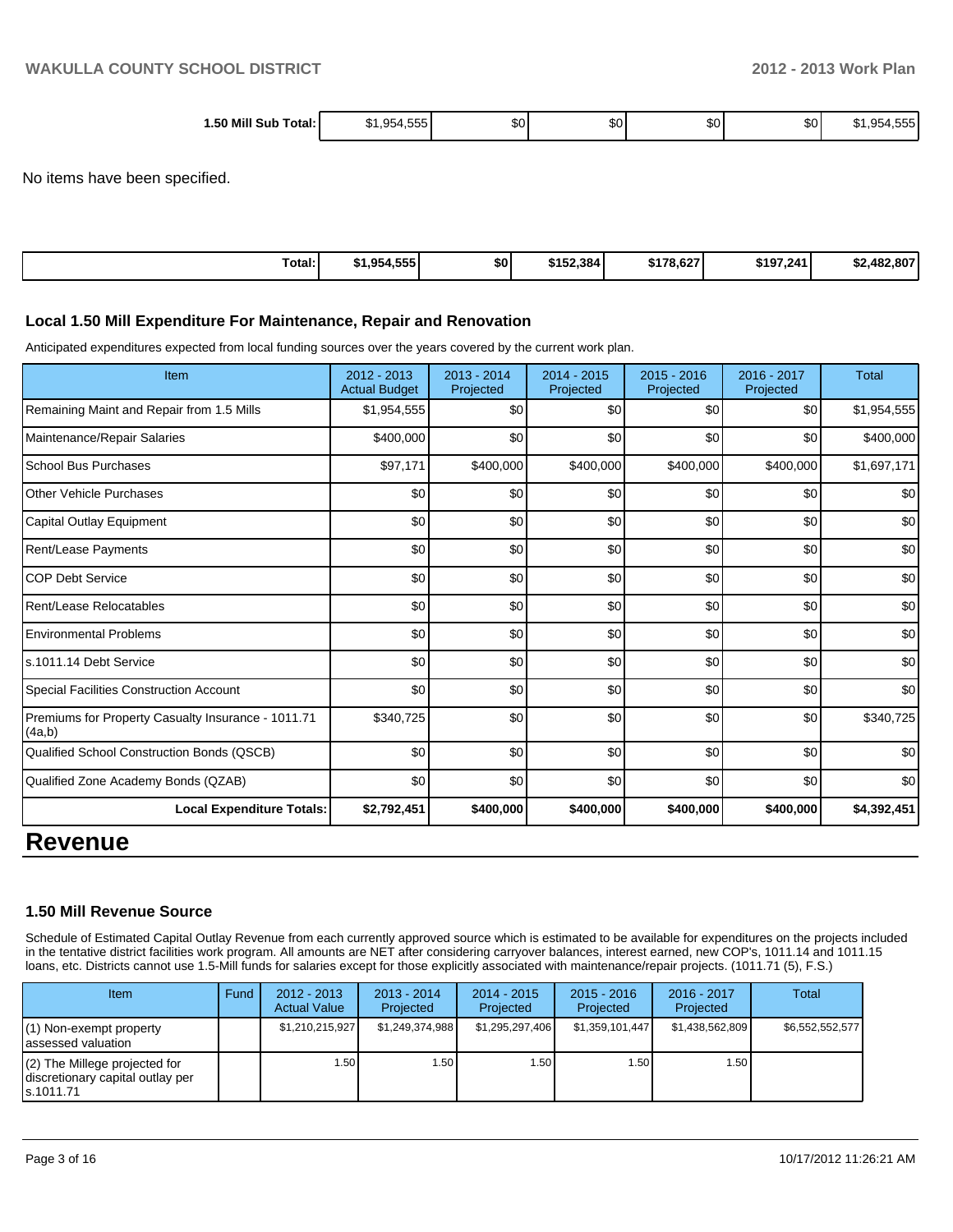| 50 Mill<br>Total:<br>Sub | ----<br><b><u><u></u></u></b><br>50<br>. ה<br>. | ົ້<br>æи | $\sim$<br>งบ | ົ<br>งบ | $\sim$<br>υσ | ---<br>$\cdot$<br>~<br>ורה<br>.<br>. |
|--------------------------|-------------------------------------------------|----------|--------------|---------|--------------|--------------------------------------|
| ____                     |                                                 |          |              |         |              |                                      |

No items have been specified.

| Total: | \$1,954,555 | \$0 | \$152,384 | \$178,627 | \$197,241 | \$2,482,807 |
|--------|-------------|-----|-----------|-----------|-----------|-------------|
|        |             |     |           |           |           |             |

#### **Local 1.50 Mill Expenditure For Maintenance, Repair and Renovation**

Anticipated expenditures expected from local funding sources over the years covered by the current work plan.

| Item                                                         | 2012 - 2013<br><b>Actual Budget</b> | $2013 - 2014$<br>Projected | $2014 - 2015$<br>Projected | 2015 - 2016<br>Projected | 2016 - 2017<br>Projected | <b>Total</b> |
|--------------------------------------------------------------|-------------------------------------|----------------------------|----------------------------|--------------------------|--------------------------|--------------|
| Remaining Maint and Repair from 1.5 Mills                    | \$1,954,555                         | \$0                        | \$0                        | \$0                      | \$0                      | \$1,954,555  |
| Maintenance/Repair Salaries                                  | \$400,000                           | \$0                        | \$0                        | \$0                      | \$0                      | \$400,000    |
| <b>School Bus Purchases</b>                                  | \$97,171                            | \$400,000                  | \$400,000                  | \$400,000                | \$400,000                | \$1,697,171  |
| <b>Other Vehicle Purchases</b>                               | \$0                                 | \$0                        | \$0                        | \$0                      | \$0                      | \$0          |
| Capital Outlay Equipment                                     | \$0                                 | \$0                        | \$0                        | \$0                      | \$0                      | \$0          |
| Rent/Lease Payments                                          | \$0                                 | \$0                        | \$0                        | \$0                      | \$0                      | \$0          |
| <b>COP Debt Service</b>                                      | \$0                                 | \$0                        | \$0                        | \$0                      | \$0                      | \$0          |
| Rent/Lease Relocatables                                      | \$0                                 | \$0                        | \$0                        | \$0                      | \$0                      | \$0          |
| <b>Environmental Problems</b>                                | \$0                                 | \$0                        | \$0                        | \$0                      | \$0                      | \$0          |
| ls.1011.14 Debt Service                                      | \$0                                 | \$0                        | \$0                        | \$0                      | \$0                      | \$0          |
| Special Facilities Construction Account                      | \$0                                 | \$0                        | \$0                        | \$0                      | \$0                      | \$0          |
| Premiums for Property Casualty Insurance - 1011.71<br>(4a,b) | \$340,725                           | \$0                        | \$0                        | \$0                      | \$0                      | \$340,725    |
| Qualified School Construction Bonds (QSCB)                   | \$0                                 | \$0                        | \$0                        | \$0                      | \$0                      | \$0          |
| Qualified Zone Academy Bonds (QZAB)                          | \$0                                 | \$0                        | \$0                        | \$0                      | \$0                      | \$0          |
| <b>Local Expenditure Totals:</b>                             | \$2,792,451                         | \$400,000                  | \$400,000                  | \$400,000                | \$400,000                | \$4,392,451  |
| <b>Revenue</b>                                               |                                     |                            |                            |                          |                          |              |

#### **1.50 Mill Revenue Source**

Schedule of Estimated Capital Outlay Revenue from each currently approved source which is estimated to be available for expenditures on the projects included in the tentative district facilities work program. All amounts are NET after considering carryover balances, interest earned, new COP's, 1011.14 and 1011.15 loans, etc. Districts cannot use 1.5-Mill funds for salaries except for those explicitly associated with maintenance/repair projects. (1011.71 (5), F.S.)

| Item                                                                              | Fund | $2012 - 2013$<br><b>Actual Value</b> | $2013 - 2014$<br>Projected | $2014 - 2015$<br>Projected | $2015 - 2016$<br>Projected | 2016 - 2017<br>Projected | Total           |
|-----------------------------------------------------------------------------------|------|--------------------------------------|----------------------------|----------------------------|----------------------------|--------------------------|-----------------|
| $(1)$ Non-exempt property<br>lassessed valuation                                  |      | \$1,210,215,927                      | \$1,249,374,988            | \$1,295,297,406            | \$1,359,101,447            | \$1,438,562,809          | \$6,552,552,577 |
| $(2)$ The Millege projected for<br>discretionary capital outlay per<br>ls.1011.71 |      | 1.50 I                               | l.50 l                     | 1.50                       | .50                        | 1.50 I                   |                 |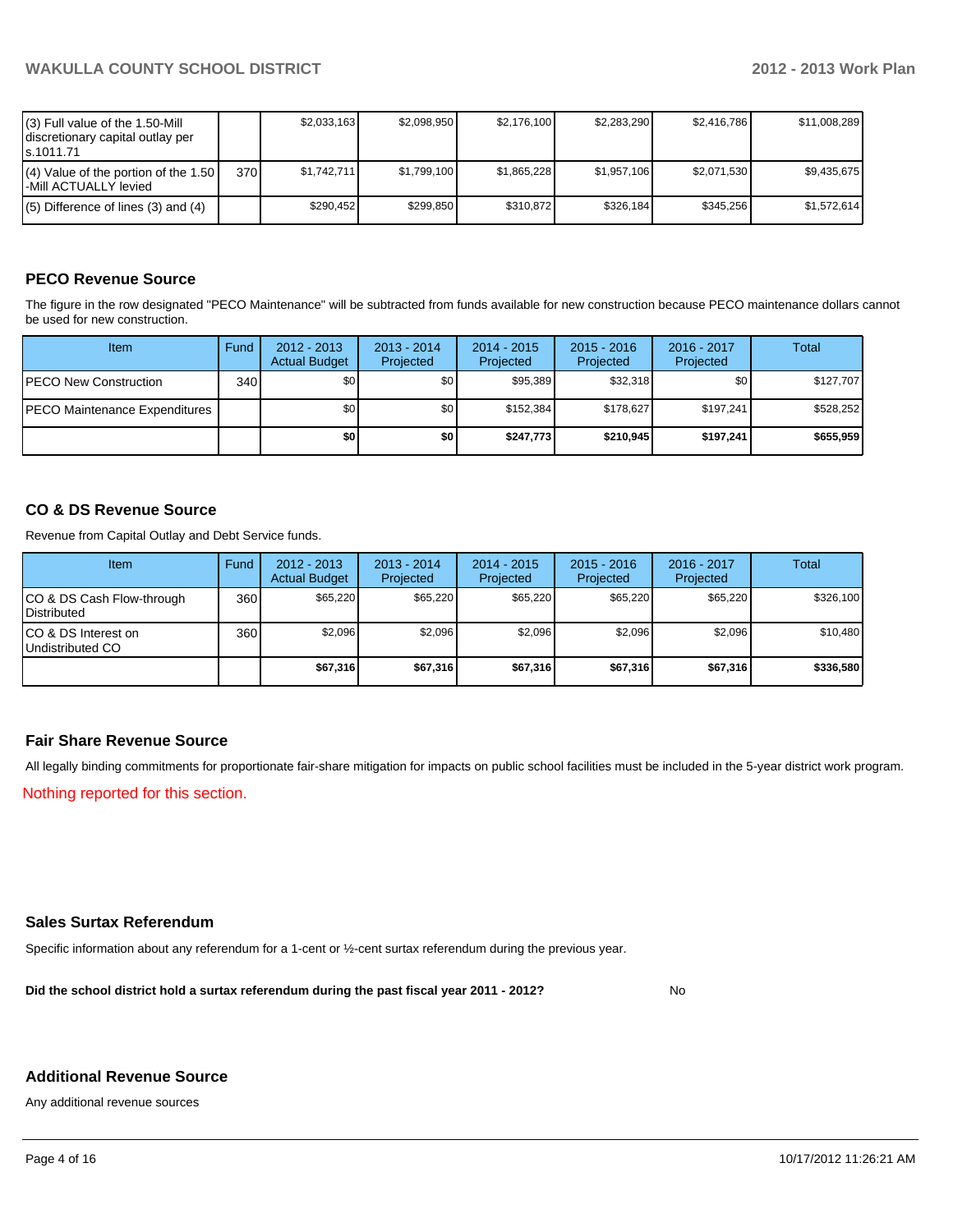| (3) Full value of the 1.50-Mill<br>I discretionary capital outlay per<br>ls.1011.71 |       | \$2,033,163 | \$2.098.950 | \$2.176.100 | \$2.283.290 | \$2.416.786 | \$11,008,289 |
|-------------------------------------------------------------------------------------|-------|-------------|-------------|-------------|-------------|-------------|--------------|
| $(4)$ Value of the portion of the 1.50<br>l-Mill ACTUALLY levied                    | 370 l | \$1.742.711 | \$1.799.100 | \$1,865,228 | \$1.957.106 | \$2,071,530 | \$9.435.675  |
| $(5)$ Difference of lines (3) and (4)                                               |       | \$290.452   | \$299.850   | \$310.872   | \$326.184   | \$345.256   | \$1.572.614  |

#### **PECO Revenue Source**

The figure in the row designated "PECO Maintenance" will be subtracted from funds available for new construction because PECO maintenance dollars cannot be used for new construction.

| Item                                  | Fund | $2012 - 2013$<br><b>Actual Budget</b> | $2013 - 2014$<br>Projected | $2014 - 2015$<br>Projected | $2015 - 2016$<br>Projected | 2016 - 2017<br>Projected | Total     |
|---------------------------------------|------|---------------------------------------|----------------------------|----------------------------|----------------------------|--------------------------|-----------|
| <b>PECO New Construction</b>          | 340  | \$0                                   | \$0 <sub>1</sub>           | \$95,389                   | \$32.318                   | \$0 I                    | \$127,707 |
| <b>IPECO Maintenance Expenditures</b> |      | \$0                                   | \$0 <sub>1</sub>           | \$152.384                  | \$178.627                  | \$197.241                | \$528,252 |
|                                       |      | \$0                                   | \$0                        | \$247.773                  | \$210,945                  | \$197.241                | \$655,959 |

#### **CO & DS Revenue Source**

Revenue from Capital Outlay and Debt Service funds.

| Item                                               | Fund             | $2012 - 2013$<br><b>Actual Budget</b> | $2013 - 2014$<br>Projected | $2014 - 2015$<br>Projected | $2015 - 2016$<br>Projected | $2016 - 2017$<br>Projected | Total     |
|----------------------------------------------------|------------------|---------------------------------------|----------------------------|----------------------------|----------------------------|----------------------------|-----------|
| ICO & DS Cash Flow-through<br><b>I</b> Distributed | 360 <sup>I</sup> | \$65,220                              | \$65.220                   | \$65,220                   | \$65,220                   | \$65.220                   | \$326,100 |
| ICO & DS Interest on<br>Undistributed CO           | 360              | \$2.096                               | \$2,096                    | \$2,096                    | \$2.096                    | \$2,096                    | \$10,480  |
|                                                    |                  | \$67,316                              | \$67,316                   | \$67,316                   | \$67.316                   | \$67,316                   | \$336,580 |

#### **Fair Share Revenue Source**

All legally binding commitments for proportionate fair-share mitigation for impacts on public school facilities must be included in the 5-year district work program.

Nothing reported for this section.

#### **Sales Surtax Referendum**

Specific information about any referendum for a 1-cent or ½-cent surtax referendum during the previous year.

**Did the school district hold a surtax referendum during the past fiscal year 2011 - 2012?**

No

#### **Additional Revenue Source**

Any additional revenue sources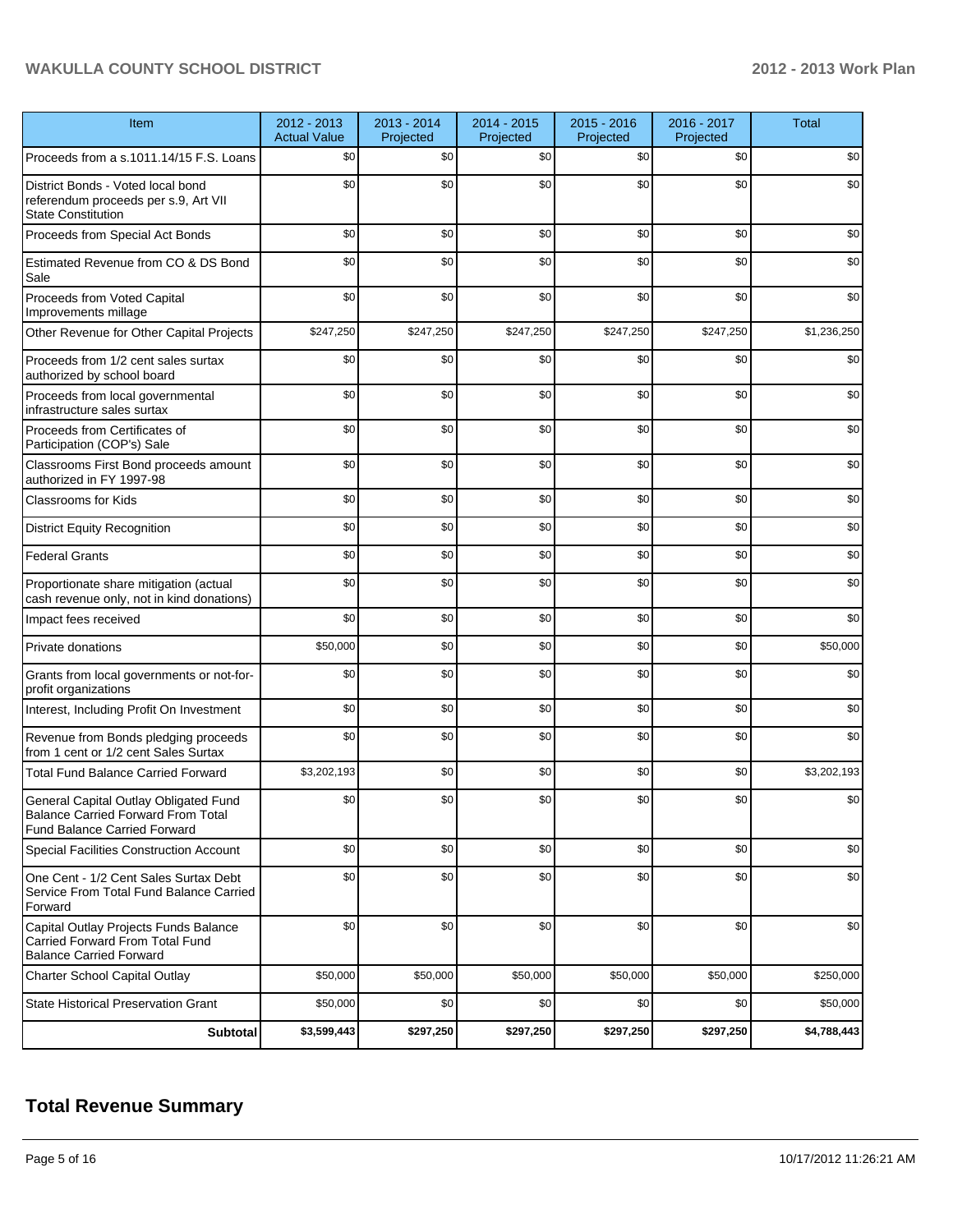### **WAKULLA COUNTY SCHOOL DISTRICT 2012 - 2013 Work Plan**

| Item                                                                                                               | 2012 - 2013<br><b>Actual Value</b> | 2013 - 2014<br>Projected | 2014 - 2015<br>Projected | 2015 - 2016<br>Projected | 2016 - 2017<br>Projected | <b>Total</b> |
|--------------------------------------------------------------------------------------------------------------------|------------------------------------|--------------------------|--------------------------|--------------------------|--------------------------|--------------|
| Proceeds from a s.1011.14/15 F.S. Loans                                                                            | \$0                                | \$0                      | \$0                      | \$0                      | \$0                      | \$0          |
| District Bonds - Voted local bond<br>referendum proceeds per s.9, Art VII<br><b>State Constitution</b>             | \$0                                | \$0                      | \$0                      | \$0                      | \$0                      | \$0          |
| Proceeds from Special Act Bonds                                                                                    | \$0                                | \$0                      | \$0                      | \$0                      | \$0                      | \$0          |
| Estimated Revenue from CO & DS Bond<br>Sale                                                                        | \$0                                | \$0                      | \$0                      | \$0                      | \$0                      | \$0          |
| Proceeds from Voted Capital<br>Improvements millage                                                                | \$0                                | \$0                      | \$0                      | \$0                      | \$0                      | \$0          |
| Other Revenue for Other Capital Projects                                                                           | \$247,250                          | \$247,250                | \$247,250                | \$247,250                | \$247,250                | \$1,236,250  |
| Proceeds from 1/2 cent sales surtax<br>authorized by school board                                                  | \$0                                | \$0                      | \$0                      | \$0                      | \$0                      | \$0          |
| Proceeds from local governmental<br>infrastructure sales surtax                                                    | \$0                                | \$0                      | \$0                      | \$0                      | \$0                      | \$0          |
| Proceeds from Certificates of<br>Participation (COP's) Sale                                                        | \$0                                | \$0                      | \$0                      | \$0                      | \$0                      | \$0          |
| Classrooms First Bond proceeds amount<br>authorized in FY 1997-98                                                  | \$0                                | \$0                      | \$0                      | \$0                      | \$0                      | \$0          |
| <b>Classrooms for Kids</b>                                                                                         | \$0                                | \$0                      | \$0                      | \$0                      | \$0                      | \$0          |
| <b>District Equity Recognition</b>                                                                                 | \$0                                | \$0                      | \$0                      | \$0                      | \$0                      | \$0          |
| <b>Federal Grants</b>                                                                                              | \$0                                | \$0                      | \$0                      | \$0                      | \$0                      | \$0          |
| Proportionate share mitigation (actual<br>cash revenue only, not in kind donations)                                | \$0                                | \$0                      | \$0                      | \$0                      | \$0                      | \$0          |
| Impact fees received                                                                                               | \$0                                | \$0                      | \$0                      | \$0                      | \$0                      | \$0          |
| Private donations                                                                                                  | \$50,000                           | \$0                      | \$0                      | \$0                      | \$0                      | \$50,000     |
| Grants from local governments or not-for-<br>profit organizations                                                  | \$0                                | \$0                      | \$0                      | \$0                      | \$0                      | \$0          |
| Interest, Including Profit On Investment                                                                           | \$0                                | \$0                      | \$0                      | \$0                      | \$0                      | \$0          |
| Revenue from Bonds pledging proceeds<br>from 1 cent or 1/2 cent Sales Surtax                                       | \$0                                | \$0                      | \$0                      | \$0                      | \$0                      | \$0          |
| <b>Total Fund Balance Carried Forward</b>                                                                          | \$3,202,193                        | \$0                      | \$0                      | \$0                      | \$0                      | \$3,202,193  |
| General Capital Outlay Obligated Fund<br><b>Balance Carried Forward From Total</b><br>Fund Balance Carried Forward | \$0                                | \$0                      | \$0                      | \$0                      | \$0                      | \$0          |
| Special Facilities Construction Account                                                                            | \$0                                | \$0                      | \$0                      | \$0                      | \$0                      | \$0          |
| One Cent - 1/2 Cent Sales Surtax Debt<br>Service From Total Fund Balance Carried<br>Forward                        | \$0                                | \$0                      | \$0                      | \$0                      | \$0                      | \$0          |
| Capital Outlay Projects Funds Balance<br>Carried Forward From Total Fund<br><b>Balance Carried Forward</b>         | \$0                                | \$0                      | \$0                      | \$0                      | \$0                      | \$0          |
| Charter School Capital Outlay                                                                                      | \$50,000                           | \$50,000                 | \$50,000                 | \$50,000                 | \$50,000                 | \$250,000    |
| <b>State Historical Preservation Grant</b>                                                                         | \$50,000                           | \$0                      | \$0                      | \$0                      | \$0                      | \$50,000     |
| <b>Subtotal</b>                                                                                                    | \$3,599,443                        | \$297,250                | \$297,250                | \$297,250                | \$297,250                | \$4,788,443  |

# **Total Revenue Summary**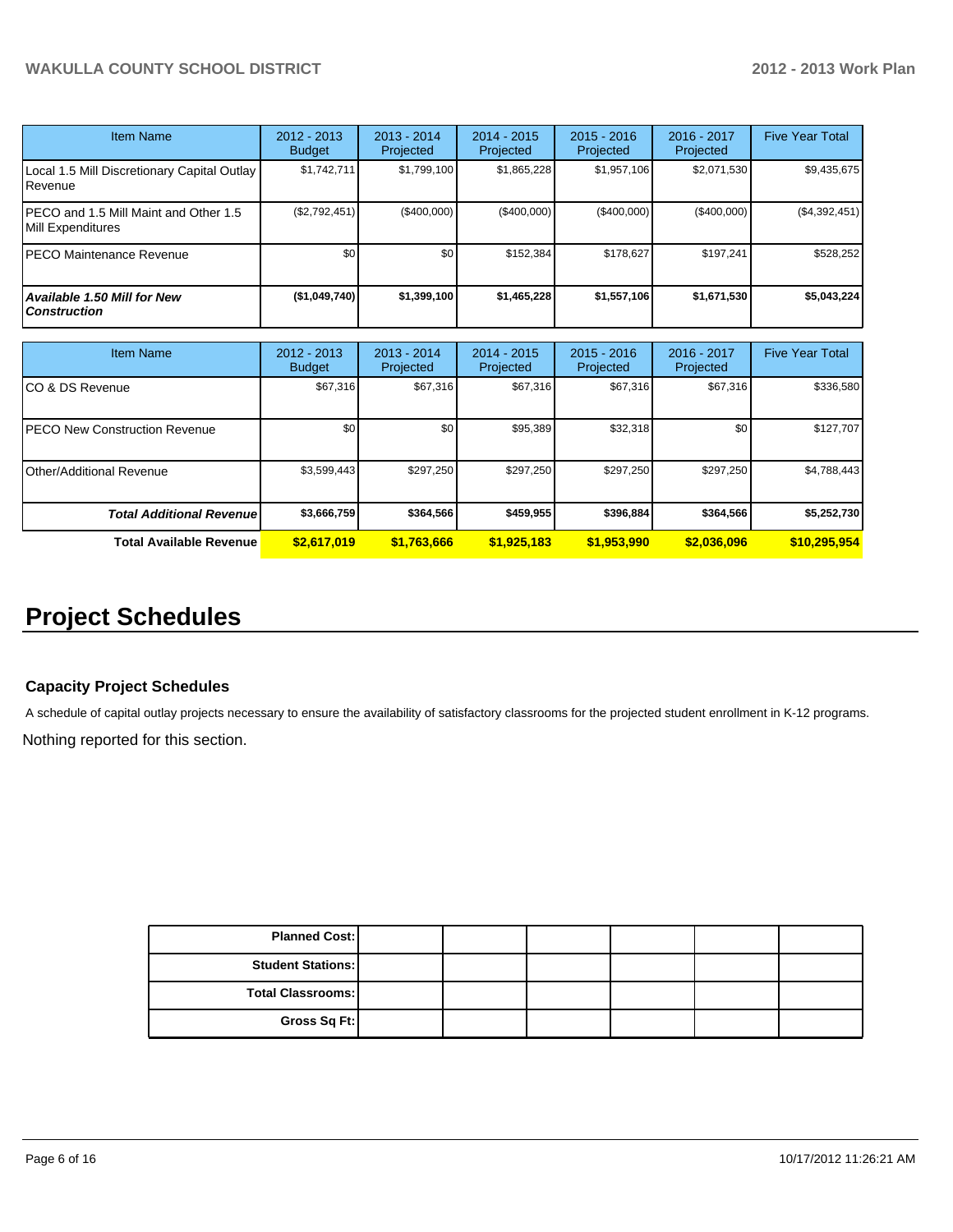| <b>Item Name</b>                                           | 2012 - 2013<br><b>Budget</b> | $2013 - 2014$<br>Projected | 2014 - 2015<br>Projected | $2015 - 2016$<br>Projected | $2016 - 2017$<br>Projected | <b>Five Year Total</b> |
|------------------------------------------------------------|------------------------------|----------------------------|--------------------------|----------------------------|----------------------------|------------------------|
| Local 1.5 Mill Discretionary Capital Outlay<br>Revenue     | \$1.742.711                  | \$1,799,100                | \$1,865,228              | \$1,957,106                | \$2,071,530                | \$9,435,675            |
| PECO and 1.5 Mill Maint and Other 1.5<br>Mill Expenditures | (S2,792,451)                 | (S400.000)                 | (S400.000)               | (\$400,000)                | (\$400,000)                | (\$4,392,451)          |
| <b>PECO Maintenance Revenue</b>                            | \$0                          | \$0                        | \$152,384                | \$178.627                  | \$197.241                  | \$528,252              |
| <b>Available 1.50 Mill for New</b><br><b>Construction</b>  | (\$1,049,740]                | \$1,399,100                | \$1,465,228              | \$1,557,106                | \$1,671,530                | \$5,043,224            |

| <b>Item Name</b>                      | 2012 - 2013<br><b>Budget</b> | $2013 - 2014$<br>Projected | $2014 - 2015$<br>Projected | $2015 - 2016$<br>Projected | 2016 - 2017<br>Projected | <b>Five Year Total</b> |
|---------------------------------------|------------------------------|----------------------------|----------------------------|----------------------------|--------------------------|------------------------|
| ICO & DS Revenue                      | \$67,316                     | \$67.316                   | \$67,316                   | \$67,316                   | \$67.316                 | \$336,580              |
| <b>IPECO New Construction Revenue</b> | \$0                          | \$0                        | \$95,389                   | \$32,318                   | \$0                      | \$127,707              |
| IOther/Additional Revenue             | \$3,599,443                  | \$297,250                  | \$297,250                  | \$297,250                  | \$297,250                | \$4,788,443            |
| <b>Total Additional Revenuel</b>      | \$3,666,759                  | \$364,566                  | \$459,955                  | \$396,884                  | \$364,566                | \$5,252,730            |
| <b>Total Available Revenue</b>        | \$2,617,019                  | \$1,763,666                | \$1,925,183                | \$1,953,990                | \$2,036,096              | \$10,295,954           |

# **Project Schedules**

#### **Capacity Project Schedules**

A schedule of capital outlay projects necessary to ensure the availability of satisfactory classrooms for the projected student enrollment in K-12 programs.

Nothing reported for this section.

| <b>Planned Cost:</b>       |  |  |  |
|----------------------------|--|--|--|
| <b>Student Stations: I</b> |  |  |  |
| Total Classrooms:          |  |  |  |
| Gross Sq Ft:               |  |  |  |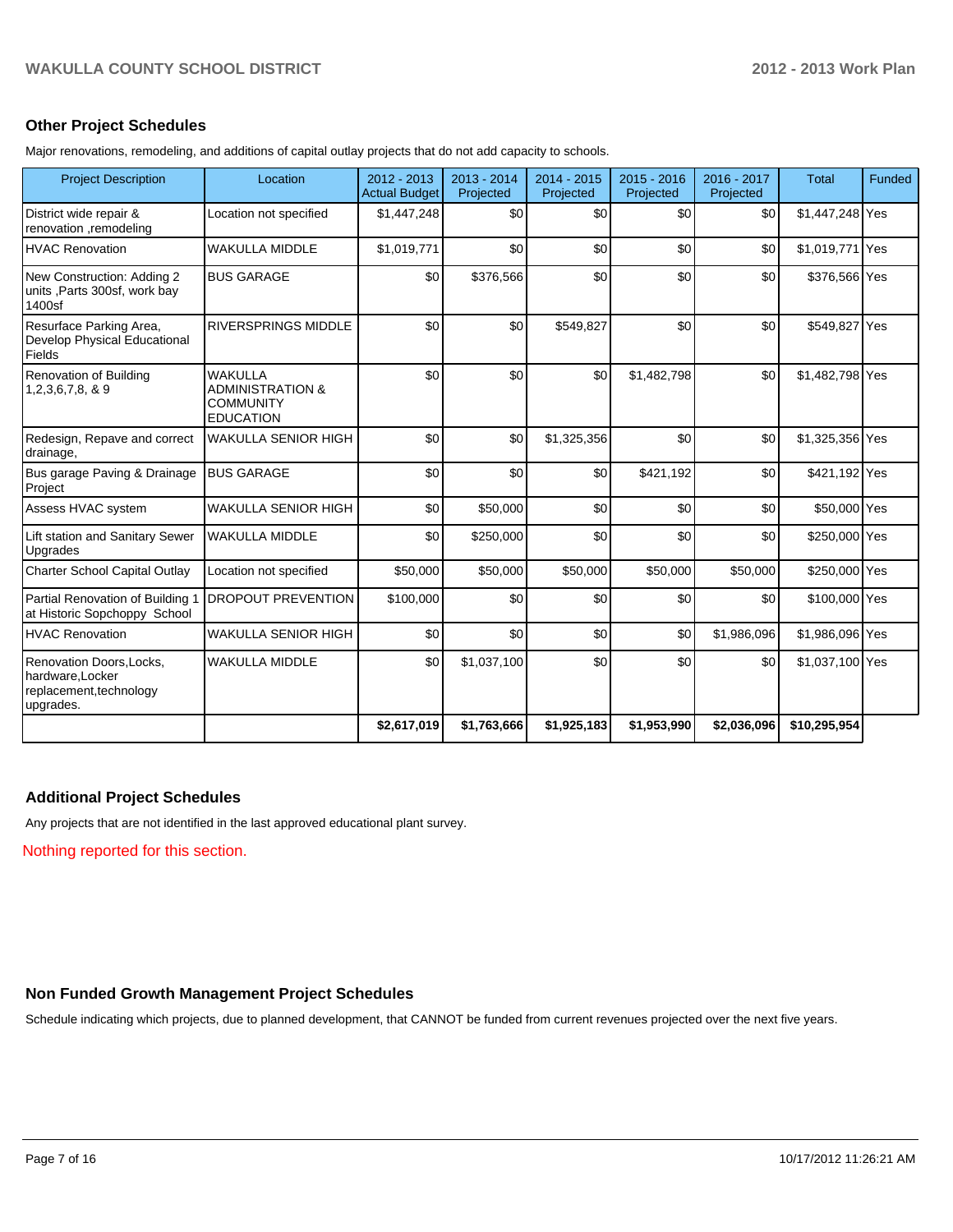#### **Other Project Schedules**

Major renovations, remodeling, and additions of capital outlay projects that do not add capacity to schools.

| <b>Project Description</b>                                                           | Location                                                                              | $2012 - 2013$<br><b>Actual Budget</b> | 2013 - 2014<br>Projected | 2014 - 2015<br>Projected | 2015 - 2016<br>Projected | 2016 - 2017<br>Projected | <b>Total</b>    | <b>Funded</b> |
|--------------------------------------------------------------------------------------|---------------------------------------------------------------------------------------|---------------------------------------|--------------------------|--------------------------|--------------------------|--------------------------|-----------------|---------------|
| District wide repair &<br>renovation ,remodeling                                     | Location not specified                                                                | \$1,447,248                           | \$0                      | \$0                      | \$0                      | \$0                      | \$1,447,248 Yes |               |
| <b>HVAC Renovation</b>                                                               | <b>WAKULLA MIDDLE</b>                                                                 | \$1,019,771                           | \$0                      | \$0                      | \$0                      | \$0                      | \$1,019,771 Yes |               |
| New Construction: Adding 2<br>units ,Parts 300sf, work bay<br>1400sf                 | <b>BUS GARAGE</b>                                                                     | \$0                                   | \$376,566                | \$0                      | \$0                      | \$0                      | \$376,566 Yes   |               |
| Resurface Parking Area,<br>Develop Physical Educational<br>Fields                    | <b>RIVERSPRINGS MIDDLE</b>                                                            | \$0                                   | \$0                      | \$549,827                | \$0                      | \$0                      | \$549,827 Yes   |               |
| Renovation of Building<br>$1,2,3,6,7,8,8$ 9                                          | <b>WAKULLA</b><br><b>ADMINISTRATION &amp;</b><br><b>COMMUNITY</b><br><b>EDUCATION</b> | \$0                                   | \$0                      | \$0                      | \$1,482,798              | \$0                      | \$1,482,798 Yes |               |
| Redesign, Repave and correct<br>drainage,                                            | <b>WAKULLA SENIOR HIGH</b>                                                            | \$0                                   | \$0                      | \$1,325,356              | \$0                      | \$0                      | \$1,325,356 Yes |               |
| Bus garage Paving & Drainage<br>Project                                              | <b>BUS GARAGE</b>                                                                     | \$0                                   | \$0                      | \$0                      | \$421,192                | \$0                      | \$421,192 Yes   |               |
| Assess HVAC system                                                                   | <b>WAKULLA SENIOR HIGH</b>                                                            | \$0                                   | \$50,000                 | \$0                      | \$0                      | \$0                      | \$50,000 Yes    |               |
| Lift station and Sanitary Sewer<br>Upgrades                                          | <b>WAKULLA MIDDLE</b>                                                                 | \$0                                   | \$250,000                | \$0                      | \$0                      | \$0                      | \$250,000 Yes   |               |
| Charter School Capital Outlay                                                        | Location not specified                                                                | \$50,000                              | \$50,000                 | \$50,000                 | \$50,000                 | \$50,000                 | \$250,000 Yes   |               |
| Partial Renovation of Building 1<br>at Historic Sopchoppy School                     | <b>DROPOUT PREVENTION</b>                                                             | \$100,000                             | \$0                      | \$0                      | \$0                      | \$0                      | \$100,000 Yes   |               |
| <b>HVAC Renovation</b>                                                               | <b>WAKULLA SENIOR HIGH</b>                                                            | \$0                                   | \$0                      | \$0                      | \$0                      | \$1,986,096              | \$1,986,096 Yes |               |
| Renovation Doors, Locks,<br>hardware, Locker<br>replacement, technology<br>upgrades. | <b>WAKULLA MIDDLE</b>                                                                 | \$0                                   | \$1,037,100              | \$0                      | \$0                      | \$0                      | \$1,037,100 Yes |               |
|                                                                                      |                                                                                       | \$2,617,019                           | \$1,763,666              | \$1,925,183              | \$1,953,990              | \$2,036,096              | \$10,295,954    |               |

#### **Additional Project Schedules**

Any projects that are not identified in the last approved educational plant survey.

Nothing reported for this section.

#### **Non Funded Growth Management Project Schedules**

Schedule indicating which projects, due to planned development, that CANNOT be funded from current revenues projected over the next five years.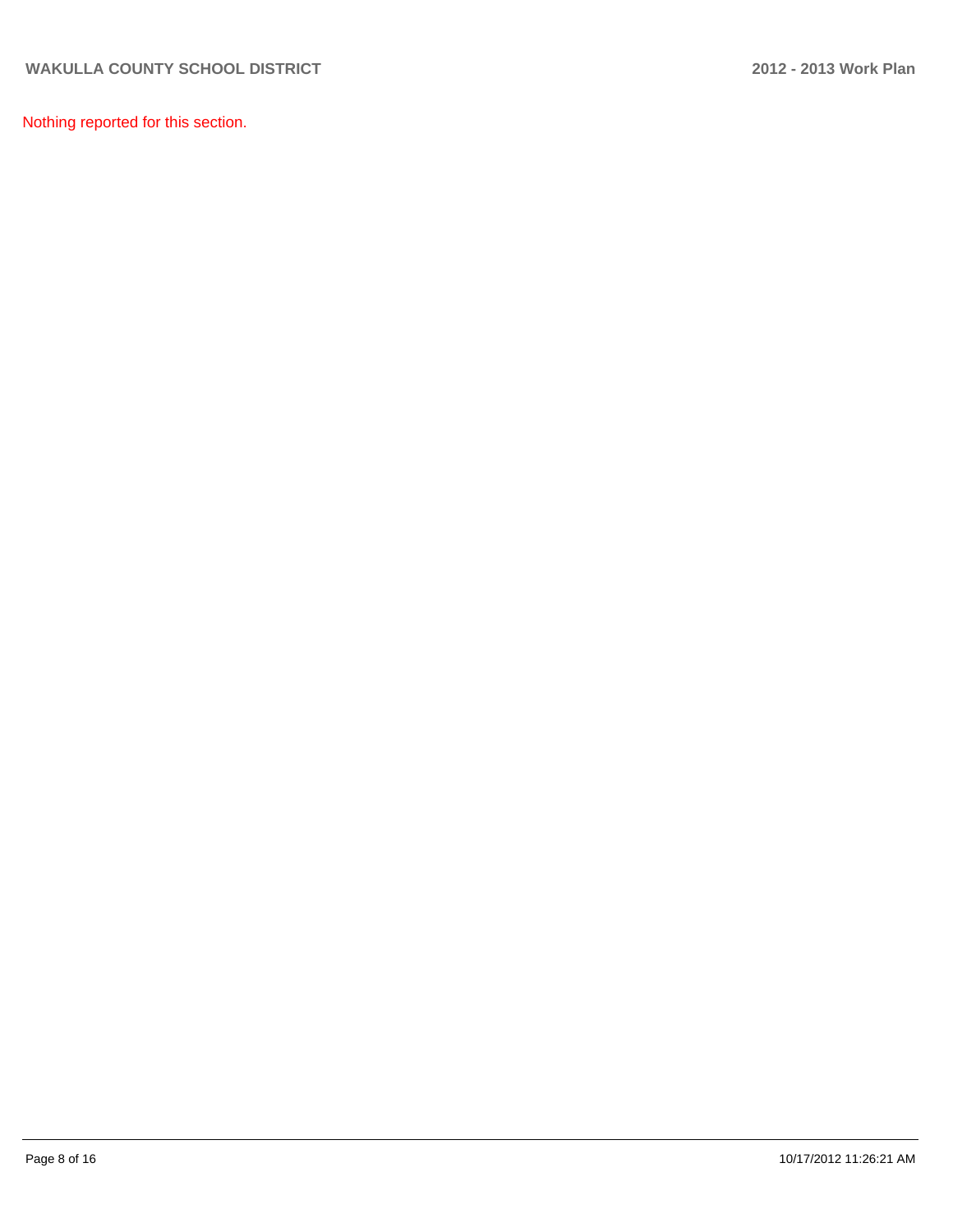Nothing reported for this section.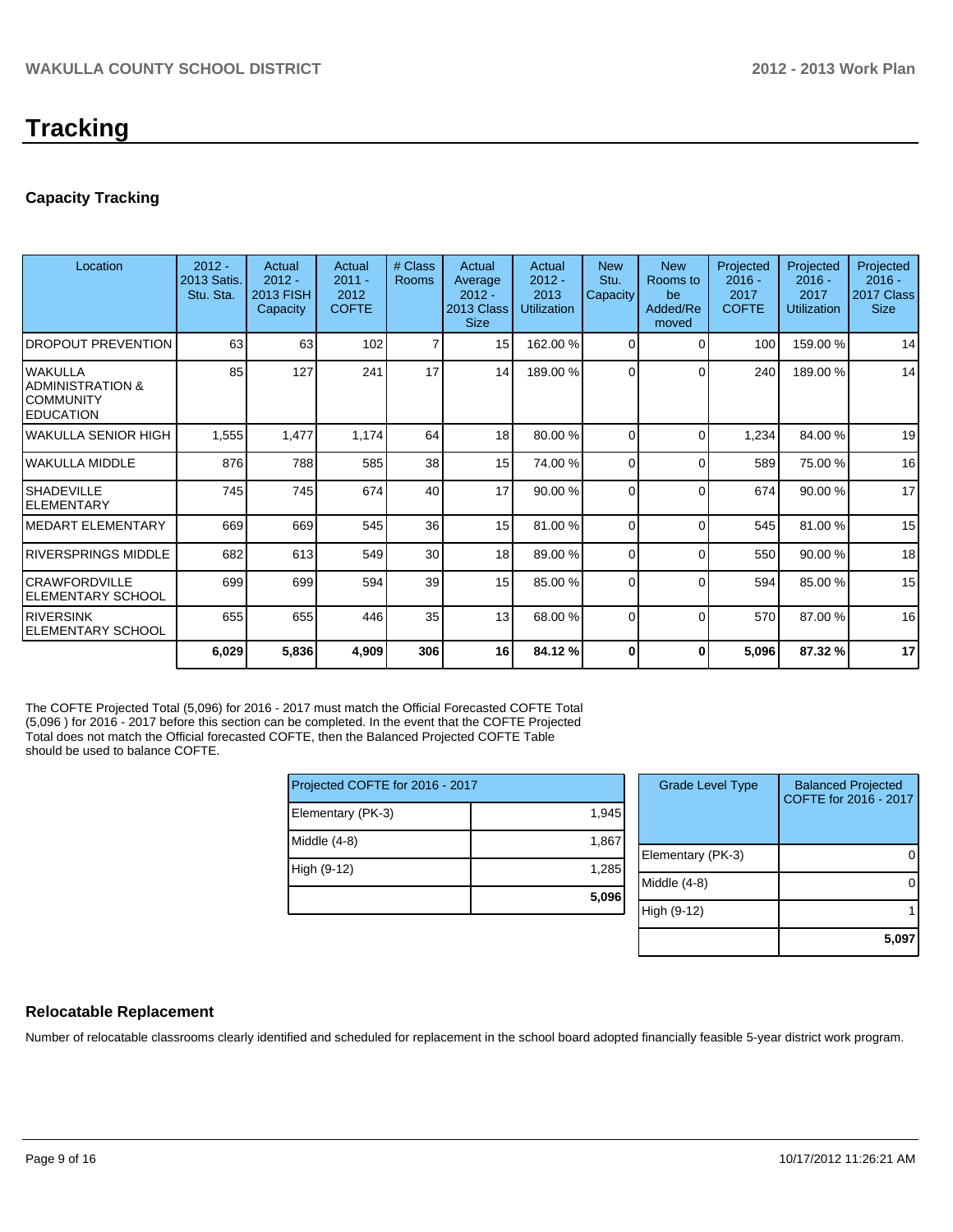# **Tracking**

#### **Capacity Tracking**

| Location                                                                   | $2012 -$<br><b>2013 Satis</b><br>Stu. Sta. | Actual<br>$2012 -$<br>2013 FISH<br>Capacity | Actual<br>$2011 -$<br>2012<br><b>COFTE</b> | # Class<br>Rooms | Actual<br>Average<br>$2012 -$<br>2013 Class<br><b>Size</b> | Actual<br>$2012 -$<br>2013<br><b>Utilization</b> | <b>New</b><br>Stu.<br>Capacity | <b>New</b><br>Rooms to<br>be<br>Added/Re<br>moved | Projected<br>$2016 -$<br>2017<br><b>COFTE</b> | Projected<br>$2016 -$<br>2017<br>Utilization | Projected<br>$2016 -$<br>2017 Class<br><b>Size</b> |
|----------------------------------------------------------------------------|--------------------------------------------|---------------------------------------------|--------------------------------------------|------------------|------------------------------------------------------------|--------------------------------------------------|--------------------------------|---------------------------------------------------|-----------------------------------------------|----------------------------------------------|----------------------------------------------------|
| <b>DROPOUT PREVENTION</b>                                                  | 63                                         | 63                                          | 102                                        | $\overline{7}$   | 15 <sup>1</sup>                                            | 162.00%                                          | $\Omega$                       | C                                                 | 100                                           | 159.00%                                      | 14                                                 |
| lwakulla<br><b>ADMINISTRATION &amp;</b><br>ICOMMUNITY<br><b>IEDUCATION</b> | 85                                         | 127                                         | 241                                        | 17               | 14                                                         | 189.00 %                                         | $\Omega$                       | ∩                                                 | 240                                           | 189.00%                                      | 14                                                 |
| lwakulla SENIOR HIGH                                                       | 1,555                                      | 1,477                                       | 1,174                                      | 64               | 18                                                         | 80.00 %                                          | 0                              | $\Omega$                                          | 1,234                                         | 84.00 %                                      | 19                                                 |
| lwakulla middle                                                            | 876                                        | 788                                         | 585                                        | 38               | 15                                                         | 74.00 %                                          | $\Omega$                       | $\Omega$                                          | 589                                           | 75.00 %                                      | 16                                                 |
| <b>SHADEVILLE</b><br>ELEMENTARY                                            | 745                                        | 745                                         | 674                                        | 40               | 17                                                         | 90.00 %                                          | $\Omega$                       | $\Omega$                                          | 674                                           | 90.00 %                                      | 17                                                 |
| IMEDART ELEMENTARY                                                         | 669                                        | 669                                         | 545                                        | 36               | 15                                                         | 81.00 %                                          | $\Omega$                       | C                                                 | 545                                           | 81.00%                                       | 15                                                 |
| IRIVERSPRINGS MIDDLE                                                       | 682                                        | 613                                         | 549                                        | 30               | 18                                                         | 89.00 %                                          | $\Omega$                       | $\Omega$                                          | 550                                           | 90.00 %                                      | 18                                                 |
| ICRAWFORDVILLE<br><b>ELEMENTARY SCHOOL</b>                                 | 699                                        | 699                                         | 594                                        | 39               | 15                                                         | 85.00 %                                          | $\Omega$                       | C                                                 | 594                                           | 85.00 %                                      | 15                                                 |
| <b>IRIVERSINK</b><br>IELEMENTARY SCHOOL                                    | 655                                        | 655                                         | 446                                        | 35               | 13                                                         | 68.00 %                                          | $\Omega$                       | $\Omega$                                          | 570                                           | 87.00 %                                      | 16                                                 |
|                                                                            | 6,029                                      | 5,836                                       | 4,909                                      | 306              | 16 <sup>1</sup>                                            | 84.12 %                                          | 0                              | 0                                                 | 5,096                                         | 87.32%                                       | 17                                                 |

The COFTE Projected Total (5,096) for 2016 - 2017 must match the Official Forecasted COFTE Total (5,096 ) for 2016 - 2017 before this section can be completed. In the event that the COFTE Projected Total does not match the Official forecasted COFTE, then the Balanced Projected COFTE Table should be used to balance COFTE.

| Projected COFTE for 2016 - 2017 |       | <b>Grade Level Type</b> | <b>Balanced Projected</b><br>COFTE for 2016 - 2017 |
|---------------------------------|-------|-------------------------|----------------------------------------------------|
| Elementary (PK-3)               | 1,945 |                         |                                                    |
| Middle (4-8)                    | 1,867 |                         |                                                    |
|                                 |       | Elementary (PK-3)       |                                                    |
| High (9-12)                     | 1,285 |                         |                                                    |
|                                 |       | Middle (4-8)            |                                                    |
|                                 | 5,096 |                         |                                                    |
|                                 |       | High (9-12)             |                                                    |
|                                 |       |                         |                                                    |

#### **Relocatable Replacement**

Number of relocatable classrooms clearly identified and scheduled for replacement in the school board adopted financially feasible 5-year district work program.

**5,097**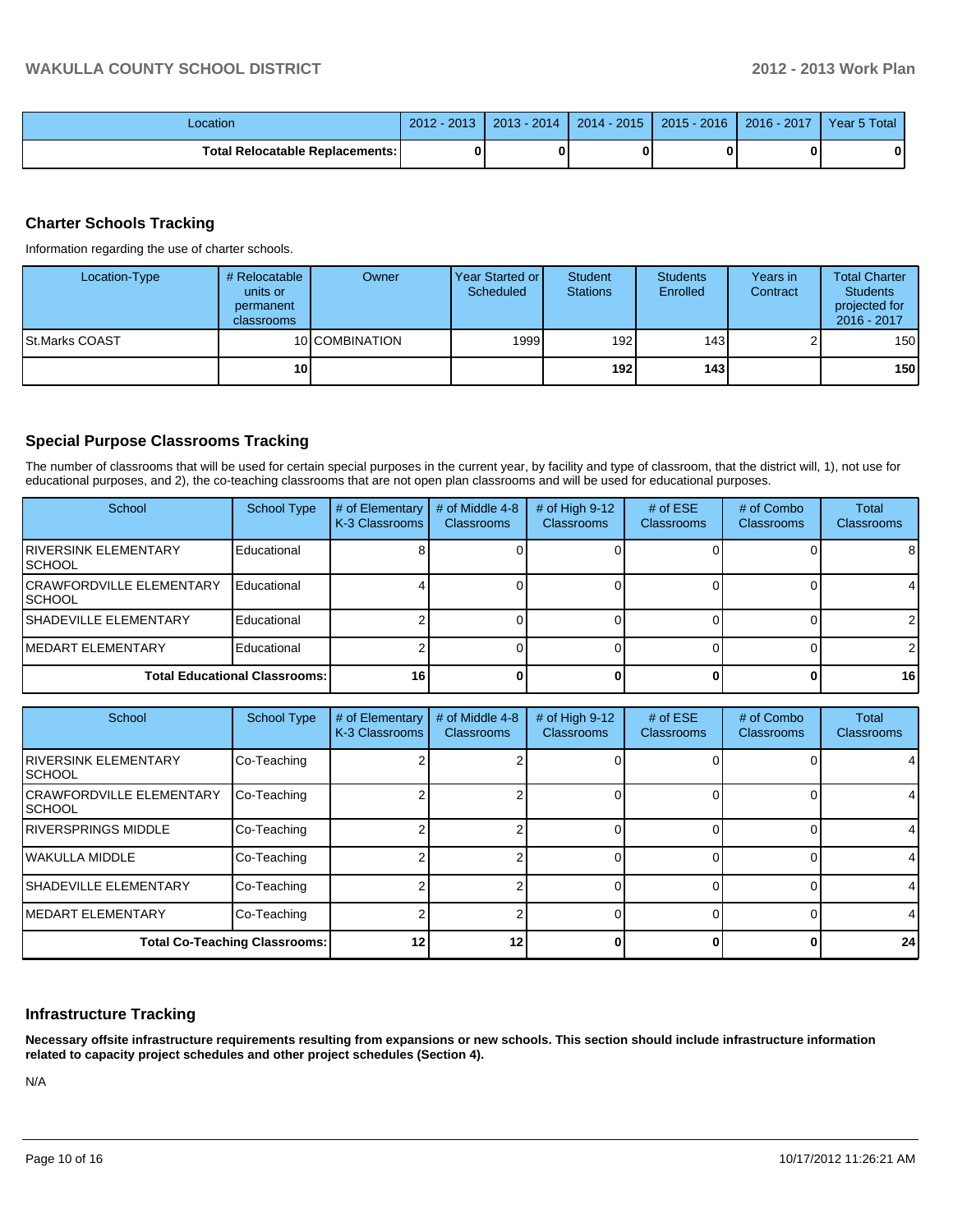| Location                                 | $-2013$<br>$2012 -$ | 2014<br>$2013 -$ | $2014 - 2015$ | $2015 - 2016$ | 2016 - 2017 | Year 5 Total |
|------------------------------------------|---------------------|------------------|---------------|---------------|-------------|--------------|
| <b>Total Relocatable Replacements: I</b> | ŋ                   |                  |               |               |             | 0            |

#### **Charter Schools Tracking**

Information regarding the use of charter schools.

| Location-Type   | # Relocatable<br>units or<br>permanent<br>classrooms | Owner          | Year Started or<br>Scheduled | Student<br><b>Stations</b> | <b>Students</b><br>Enrolled | Years in<br>Contract | <b>Total Charter</b><br><b>Students</b><br>projected for<br>2016 - 2017 |
|-----------------|------------------------------------------------------|----------------|------------------------------|----------------------------|-----------------------------|----------------------|-------------------------------------------------------------------------|
| ISt.Marks COAST |                                                      | 10 COMBINATION | 1999                         | 192 <sub>l</sub>           | 143I                        |                      | 150                                                                     |
|                 | 10 <sup>1</sup>                                      |                |                              | 192 l                      | 143 l                       |                      | 150                                                                     |

#### **Special Purpose Classrooms Tracking**

The number of classrooms that will be used for certain special purposes in the current year, by facility and type of classroom, that the district will, 1), not use for educational purposes, and 2), the co-teaching classrooms that are not open plan classrooms and will be used for educational purposes.

| School                                             | <b>School Type</b> | # of Elementary<br>K-3 Classrooms | # of Middle 4-8<br>Classrooms | # of High $9-12$<br><b>Classrooms</b> | # of $ESE$<br>Classrooms | # of Combo<br>Classrooms | <b>Total</b><br><b>Classrooms</b> |
|----------------------------------------------------|--------------------|-----------------------------------|-------------------------------|---------------------------------------|--------------------------|--------------------------|-----------------------------------|
| <b>IRIVERSINK ELEMENTARY</b><br><b>ISCHOOL</b>     | Educational        |                                   |                               |                                       |                          |                          | 81                                |
| <b>ICRAWFORDVILLE ELEMENTARY</b><br><b>ISCHOOL</b> | Educational        |                                   |                               |                                       |                          |                          |                                   |
| <b>ISHADEVILLE ELEMENTARY</b>                      | Educational        |                                   |                               |                                       |                          |                          |                                   |
| <b>IMEDART ELEMENTARY</b>                          | Educational        |                                   |                               |                                       |                          |                          |                                   |
| <b>Total Educational Classrooms:</b>               | 16                 |                                   |                               |                                       |                          | 16 I                     |                                   |

| School                                     | <b>School Type</b> | # of Elementary<br>K-3 Classrooms | # of Middle 4-8<br><b>Classrooms</b> | # of High 9-12<br><b>Classrooms</b> | # of $ESE$<br><b>Classrooms</b> | # of Combo<br><b>Classrooms</b> | Total<br><b>Classrooms</b> |
|--------------------------------------------|--------------------|-----------------------------------|--------------------------------------|-------------------------------------|---------------------------------|---------------------------------|----------------------------|
| <b>IRIVERSINK ELEMENTARY</b><br>ISCHOOL    | Co-Teaching        |                                   |                                      |                                     |                                 |                                 | 4                          |
| <b>CRAWFORDVILLE ELEMENTARY</b><br>ISCHOOL | Co-Teaching        |                                   |                                      |                                     |                                 |                                 | 4                          |
| <b>IRIVERSPRINGS MIDDLE</b>                | Co-Teaching        |                                   |                                      |                                     |                                 |                                 | 41                         |
| <b>IWAKULLA MIDDLE</b>                     | Co-Teaching        |                                   |                                      |                                     |                                 |                                 | 41                         |
| <b>SHADEVILLE ELEMENTARY</b>               | Co-Teaching        |                                   |                                      |                                     |                                 |                                 | 4                          |
| <b>IMEDART ELEMENTARY</b>                  | Co-Teaching        |                                   |                                      |                                     |                                 |                                 | $\overline{4}$             |
| <b>Total Co-Teaching Classrooms:</b>       | 12                 | 12                                |                                      |                                     |                                 | 24                              |                            |

#### **Infrastructure Tracking**

**Necessary offsite infrastructure requirements resulting from expansions or new schools. This section should include infrastructure information related to capacity project schedules and other project schedules (Section 4).**

N/A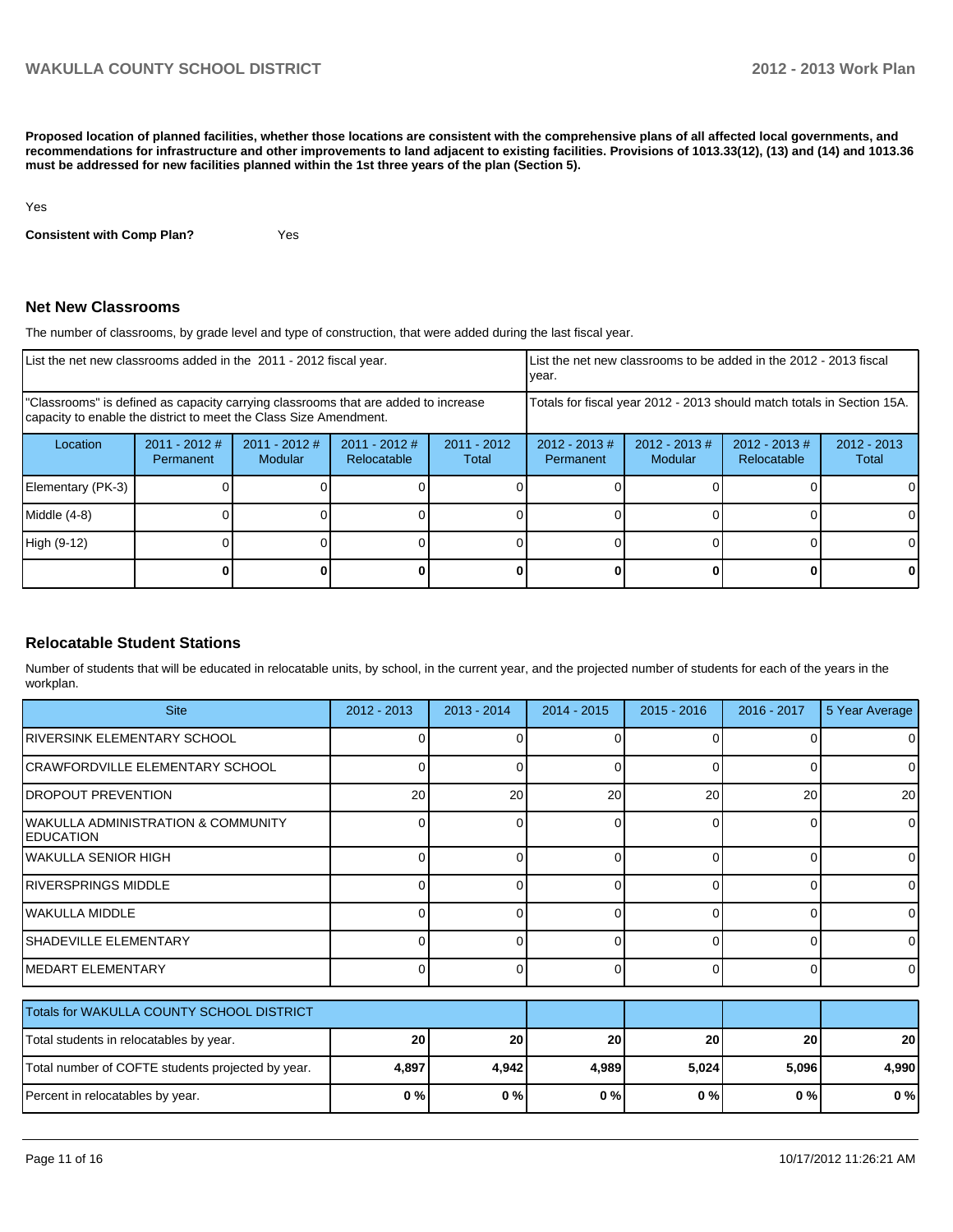**Proposed location of planned facilities, whether those locations are consistent with the comprehensive plans of all affected local governments, and recommendations for infrastructure and other improvements to land adjacent to existing facilities. Provisions of 1013.33(12), (13) and (14) and 1013.36 must be addressed for new facilities planned within the 1st three years of the plan (Section 5).**

Yes

**Consistent with Comp Plan?** Yes

#### **Net New Classrooms**

The number of classrooms, by grade level and type of construction, that were added during the last fiscal year.

| List the net new classrooms added in the 2011 - 2012 fiscal year.                                                                                       | LList the net new classrooms to be added in the 2012 - 2013 fiscal<br>vear. |                                 |                                |                        |                              |                                                                        |                                 |                        |  |
|---------------------------------------------------------------------------------------------------------------------------------------------------------|-----------------------------------------------------------------------------|---------------------------------|--------------------------------|------------------------|------------------------------|------------------------------------------------------------------------|---------------------------------|------------------------|--|
| "Classrooms" is defined as capacity carrying classrooms that are added to increase<br>capacity to enable the district to meet the Class Size Amendment. |                                                                             |                                 |                                |                        |                              | Totals for fiscal year 2012 - 2013 should match totals in Section 15A. |                                 |                        |  |
| Location                                                                                                                                                | $2011 - 2012$ #<br>Permanent                                                | 2011 - 2012 #<br><b>Modular</b> | $2011 - 2012$ #<br>Relocatable | $2011 - 2012$<br>Total | $2012 - 2013$ #<br>Permanent | $2012 - 2013$ #<br><b>Modular</b>                                      | $2012 - 2013 \#$<br>Relocatable | $2012 - 2013$<br>Total |  |
| Elementary (PK-3)                                                                                                                                       |                                                                             |                                 |                                |                        |                              |                                                                        |                                 | 0                      |  |
| Middle (4-8)                                                                                                                                            |                                                                             |                                 |                                |                        |                              |                                                                        |                                 | 0                      |  |
| High (9-12)                                                                                                                                             |                                                                             |                                 |                                |                        |                              |                                                                        |                                 | 0                      |  |
|                                                                                                                                                         |                                                                             |                                 |                                |                        |                              |                                                                        |                                 | 0                      |  |

#### **Relocatable Student Stations**

Number of students that will be educated in relocatable units, by school, in the current year, and the projected number of students for each of the years in the workplan.

| <b>Site</b>                                            | $2012 - 2013$ | $2013 - 2014$ | $2014 - 2015$ | $2015 - 2016$ | 2016 - 2017    | 5 Year Average |
|--------------------------------------------------------|---------------|---------------|---------------|---------------|----------------|----------------|
| RIVERSINK ELEMENTARY SCHOOL                            |               |               |               |               |                | 0              |
| ICRAWFORDVILLE ELEMENTARY SCHOOL                       | 0             | ი             | 0             | $\Omega$      | 0              | 0              |
| <b>DROPOUT PREVENTION</b>                              | 20            | 20            | 20            | 20            | 20             | 20             |
| WAKULLA ADMINISTRATION & COMMUNITY<br><b>EDUCATION</b> | 0             | ი             | 0             | $\Omega$      | 0              | $\Omega$       |
| İWAKULLA SENIOR HIGH                                   | 0             | ი             | 0             | $\Omega$      | $\Omega$       | $\Omega$       |
| IRIVERSPRINGS MIDDLE                                   | 0             | ⋂             | U             | $\Omega$      | $\Omega$       | $\overline{0}$ |
| lwakulla middle                                        | 0             | ი             | 0             | $\Omega$      | $\Omega$       | $\Omega$       |
| ISHADEVILLE ELEMENTARY                                 | 0             | ი             | 0             | $\Omega$      | $\Omega$       | $\overline{0}$ |
| MEDART ELEMENTARY                                      | 0             | U             | $\Omega$      | $\Omega$      | $\overline{0}$ | $\overline{0}$ |
| Totals for WAKULLA COUNTY SCHOOL DISTRICT              |               |               |               |               |                |                |
| Total students in relocatables by year.                | 20            | 20            | 20            | 20            | 20             | 20             |
| Total number of COFTE students projected by year.      | 4,897         | 4,942         | 4,989         | 5,024         | 5,096          | 4,990          |
| Percent in relocatables by year.                       | 0%            | 0%            | 0%            | 0%            | 0%             | 0%             |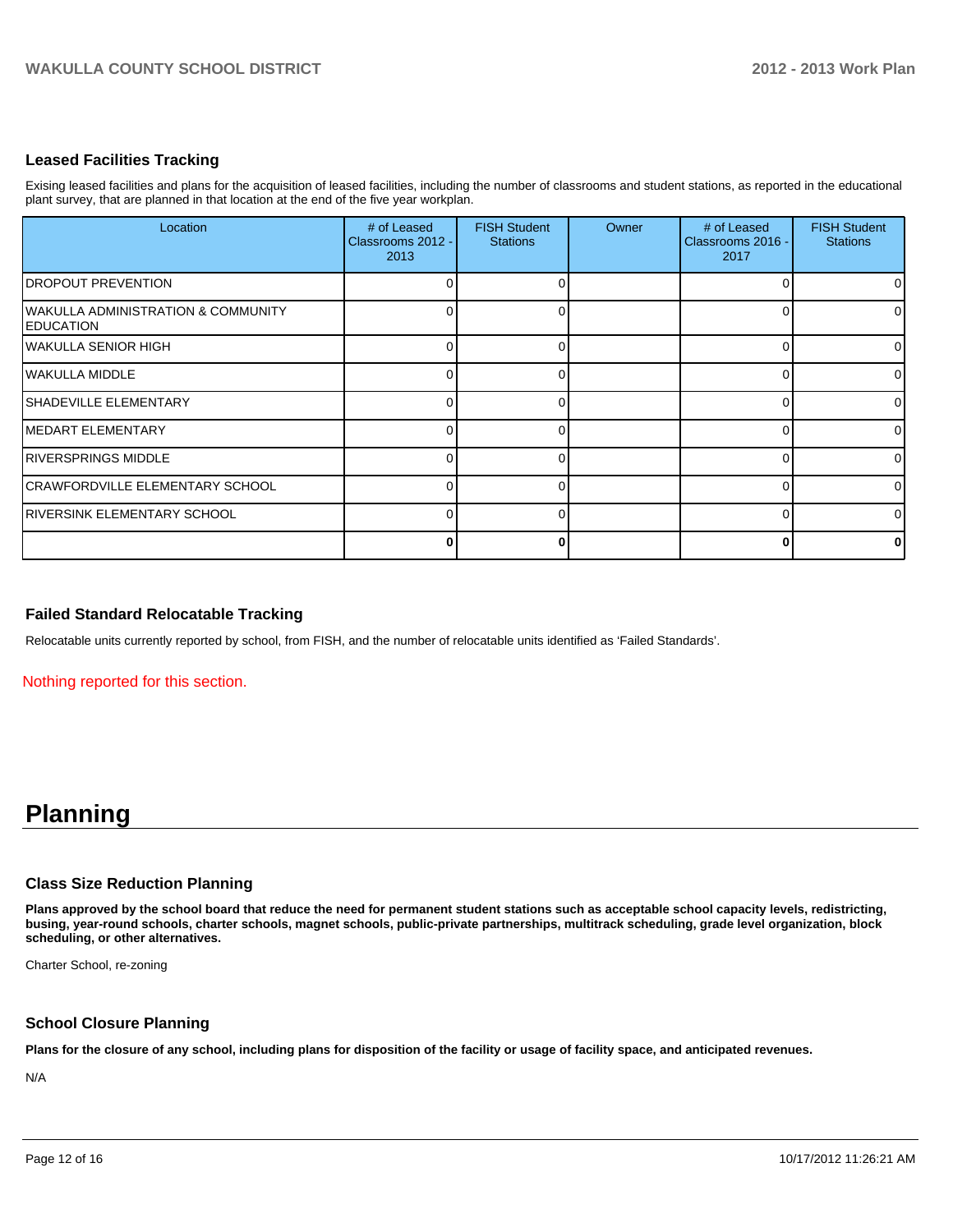#### **Leased Facilities Tracking**

Exising leased facilities and plans for the acquisition of leased facilities, including the number of classrooms and student stations, as reported in the educational plant survey, that are planned in that location at the end of the five year workplan.

| Location                                                          | # of Leased<br>Classrooms 2012 -<br>2013 | <b>FISH Student</b><br><b>Stations</b> | Owner | # of Leased<br>Classrooms 2016 -<br>2017 | <b>FISH Student</b><br><b>Stations</b> |
|-------------------------------------------------------------------|------------------------------------------|----------------------------------------|-------|------------------------------------------|----------------------------------------|
| <b>IDROPOUT PREVENTION</b>                                        |                                          |                                        |       |                                          |                                        |
| <b>WAKULLA ADMINISTRATION &amp; COMMUNITY</b><br><b>EDUCATION</b> |                                          |                                        |       |                                          | 0                                      |
| <b>WAKULLA SENIOR HIGH</b>                                        |                                          |                                        |       |                                          | 0                                      |
| WAKULLA MIDDLE                                                    |                                          |                                        |       |                                          | 0                                      |
| ISHADEVILLE ELEMENTARY                                            |                                          |                                        |       |                                          | 0                                      |
| <b>IMEDART ELEMENTARY</b>                                         |                                          |                                        |       |                                          | $\Omega$                               |
| <b>IRIVERSPRINGS MIDDLE</b>                                       |                                          |                                        |       |                                          | $\Omega$                               |
| <b>CRAWFORDVILLE ELEMENTARY SCHOOL</b>                            |                                          |                                        |       |                                          | $\overline{0}$                         |
| <b>RIVERSINK ELEMENTARY SCHOOL</b>                                |                                          |                                        |       |                                          | 0                                      |
|                                                                   |                                          |                                        |       |                                          | 0                                      |

#### **Failed Standard Relocatable Tracking**

Relocatable units currently reported by school, from FISH, and the number of relocatable units identified as 'Failed Standards'.

Nothing reported for this section.

## **Planning**

#### **Class Size Reduction Planning**

**Plans approved by the school board that reduce the need for permanent student stations such as acceptable school capacity levels, redistricting, busing, year-round schools, charter schools, magnet schools, public-private partnerships, multitrack scheduling, grade level organization, block scheduling, or other alternatives.**

Charter School, re-zoning

#### **School Closure Planning**

**Plans for the closure of any school, including plans for disposition of the facility or usage of facility space, and anticipated revenues.**

N/A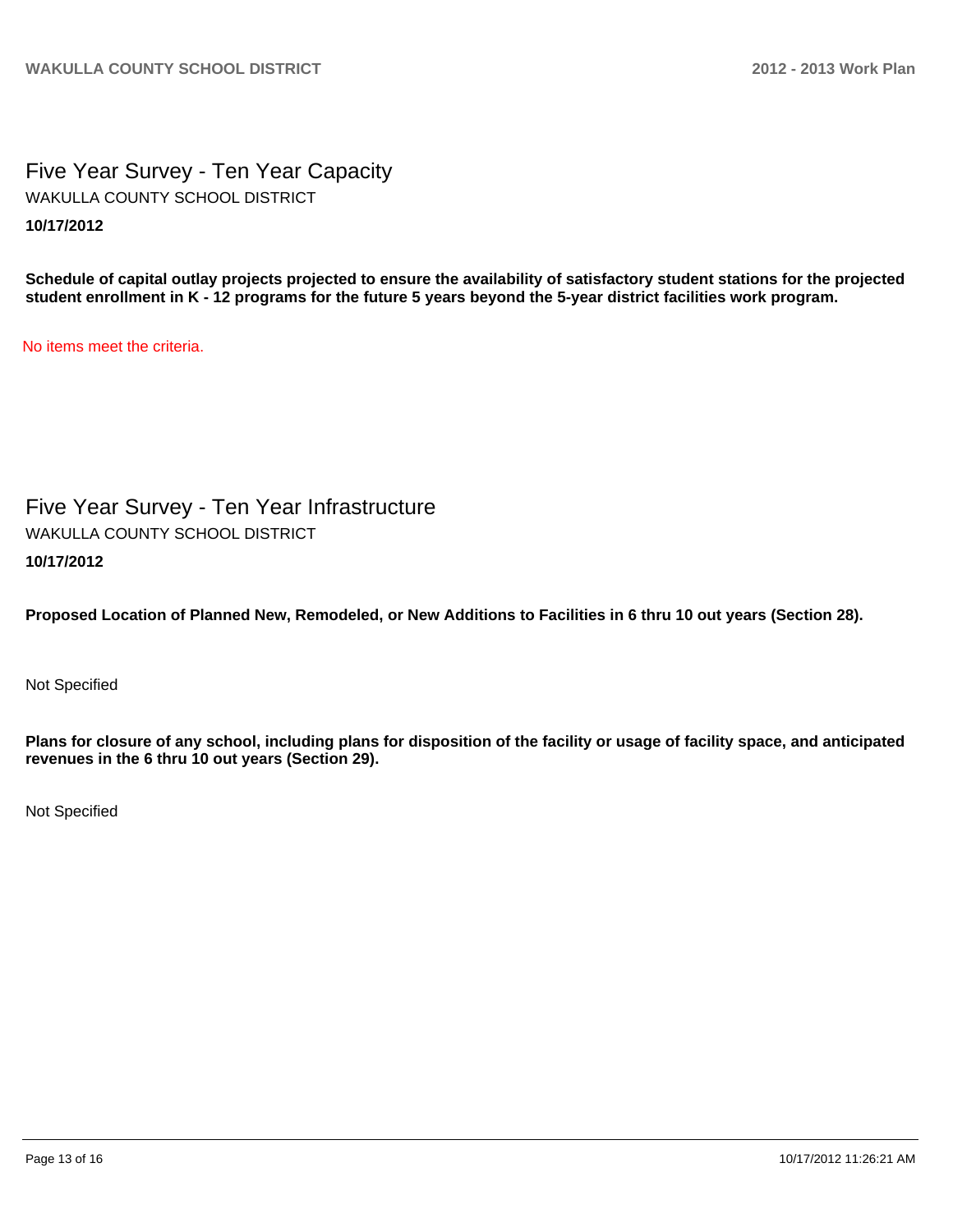Five Year Survey - Ten Year Capacity **10/17/2012** WAKULLA COUNTY SCHOOL DISTRICT

**Schedule of capital outlay projects projected to ensure the availability of satisfactory student stations for the projected student enrollment in K - 12 programs for the future 5 years beyond the 5-year district facilities work program.**

No items meet the criteria.

Five Year Survey - Ten Year Infrastructure **10/17/2012** WAKULLA COUNTY SCHOOL DISTRICT

**Proposed Location of Planned New, Remodeled, or New Additions to Facilities in 6 thru 10 out years (Section 28).**

Not Specified

**Plans for closure of any school, including plans for disposition of the facility or usage of facility space, and anticipated revenues in the 6 thru 10 out years (Section 29).**

Not Specified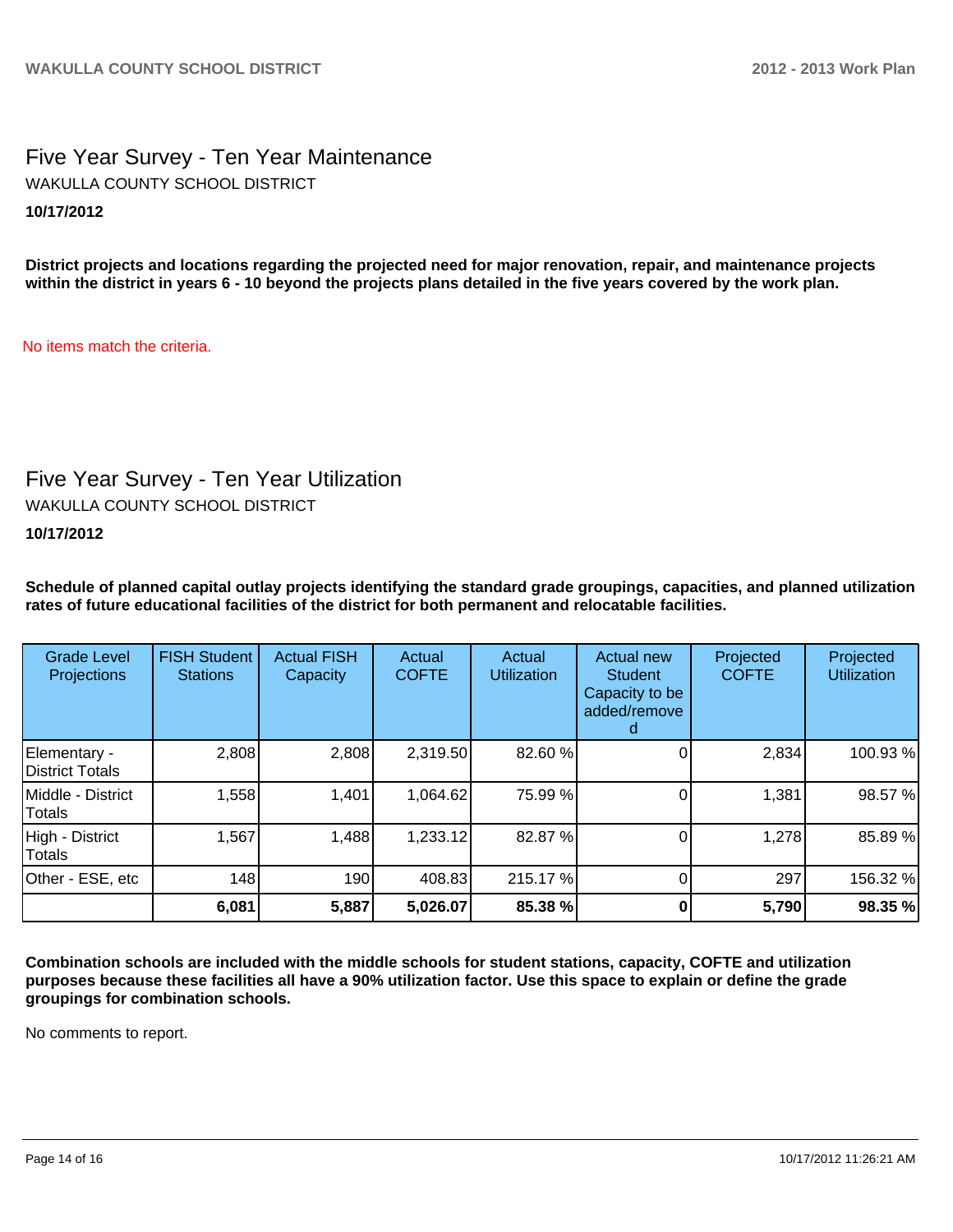### Five Year Survey - Ten Year Maintenance **10/17/2012** WAKULLA COUNTY SCHOOL DISTRICT

**District projects and locations regarding the projected need for major renovation, repair, and maintenance projects within the district in years 6 - 10 beyond the projects plans detailed in the five years covered by the work plan.**

No items match the criteria.

### Five Year Survey - Ten Year Utilization

WAKULLA COUNTY SCHOOL DISTRICT

#### **10/17/2012**

**Schedule of planned capital outlay projects identifying the standard grade groupings, capacities, and planned utilization rates of future educational facilities of the district for both permanent and relocatable facilities.**

| <b>Grade Level</b><br>Projections | <b>FISH Student</b><br><b>Stations</b> | <b>Actual FISH</b><br>Capacity | Actual<br><b>COFTE</b> | Actual<br><b>Utilization</b> | Actual new<br><b>Student</b><br>Capacity to be<br>added/remove | Projected<br><b>COFTE</b> | Projected<br><b>Utilization</b> |
|-----------------------------------|----------------------------------------|--------------------------------|------------------------|------------------------------|----------------------------------------------------------------|---------------------------|---------------------------------|
| Elementary -<br>District Totals   | 2,808                                  | 2,808                          | 2,319.50               | 82.60 %                      |                                                                | 2,834                     | 100.93%                         |
| Middle - District<br>Totals       | 1,558                                  | 1,401                          | 1,064.62               | 75.99 %                      |                                                                | 1,381                     | 98.57 %                         |
| High - District<br>Totals         | 1,567                                  | 1,488                          | 1,233.12               | 82.87%                       |                                                                | 1,278                     | 85.89%                          |
| Other - ESE, etc                  | 148                                    | 190                            | 408.83                 | 215.17%                      |                                                                | 297                       | 156.32 %                        |
|                                   | 6,081                                  | 5,887                          | 5,026.07               | 85.38 %                      |                                                                | 5,790                     | 98.35 %                         |

**Combination schools are included with the middle schools for student stations, capacity, COFTE and utilization purposes because these facilities all have a 90% utilization factor. Use this space to explain or define the grade groupings for combination schools.**

No comments to report.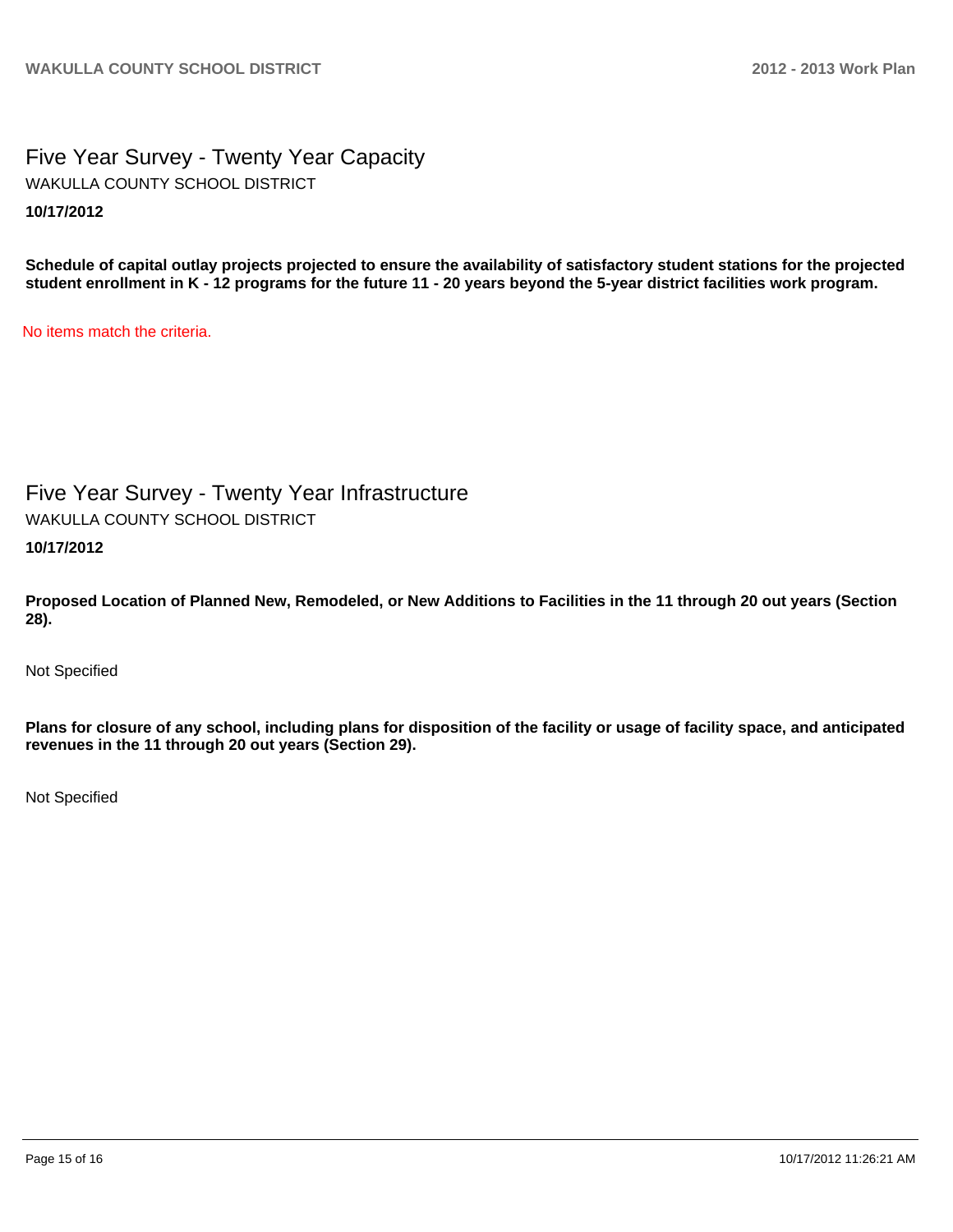### Five Year Survey - Twenty Year Capacity **10/17/2012** WAKULLA COUNTY SCHOOL DISTRICT

**Schedule of capital outlay projects projected to ensure the availability of satisfactory student stations for the projected student enrollment in K - 12 programs for the future 11 - 20 years beyond the 5-year district facilities work program.**

No items match the criteria.

### Five Year Survey - Twenty Year Infrastructure

WAKULLA COUNTY SCHOOL DISTRICT

#### **10/17/2012**

**Proposed Location of Planned New, Remodeled, or New Additions to Facilities in the 11 through 20 out years (Section 28).**

Not Specified

**Plans for closure of any school, including plans for disposition of the facility or usage of facility space, and anticipated revenues in the 11 through 20 out years (Section 29).**

Not Specified